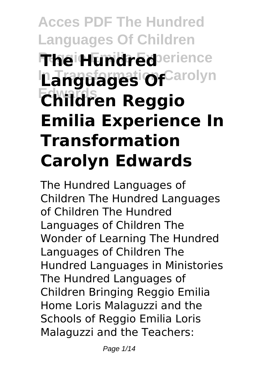# **Acces PDF The Hundred Languages Of Children The Hundred** erience **Languages Of**Carolyn **Edwards Children Reggio Emilia Experience In Transformation Carolyn Edwards**

The Hundred Languages of Children The Hundred Languages of Children The Hundred Languages of Children The Wonder of Learning The Hundred Languages of Children The Hundred Languages in Ministories The Hundred Languages of Children Bringing Reggio Emilia Home Loris Malaguzzi and the Schools of Reggio Emilia Loris Malaguzzi and the Teachers: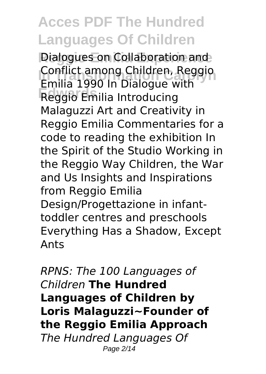**Dialogues on Collaboration and** Conflict among Children, Reggio **Edwards** Reggio Emilia Introducing Emilia 1990 In Dialogue with Malaguzzi Art and Creativity in Reggio Emilia Commentaries for a code to reading the exhibition In the Spirit of the Studio Working in the Reggio Way Children, the War and Us Insights and Inspirations from Reggio Emilia Design/Progettazione in infanttoddler centres and preschools Everything Has a Shadow, Except Ants

*RPNS: The 100 Languages of Children* **The Hundred Languages of Children by Loris Malaguzzi~Founder of the Reggio Emilia Approach** *The Hundred Languages Of* Page 2/14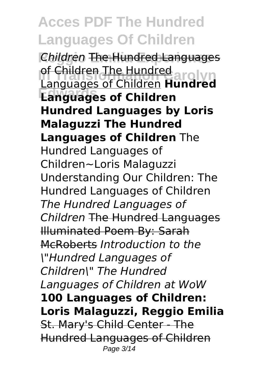**Reggio Emilia Experience** *Children* The Hundred Languages of Children The Hundred<br>Languages of Children **Hundred Edwards Languages of Children Languages of Children Hundre Hundred Languages by Loris Malaguzzi The Hundred Languages of Children** The Hundred Languages of Children~Loris Malaguzzi Understanding Our Children: The Hundred Languages of Children *The Hundred Languages of Children* The Hundred Languages Illuminated Poem By: Sarah McRoberts *Introduction to the \"Hundred Languages of Children\" The Hundred Languages of Children at WoW* **100 Languages of Children: Loris Malaguzzi, Reggio Emilia** St. Mary's Child Center - The Hundred Languages of Children Page 3/14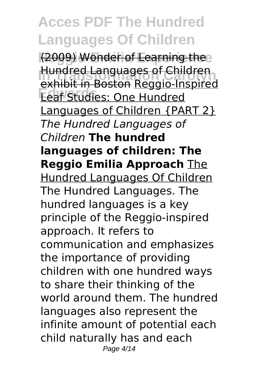(2009) Wonder of Learning the **Hundred Languages of Children**<br>Archibit in Besten Bessie Inspires **Edwards** Leaf Studies: One Hundred exhibit in Boston Reggio-Inspired Languages of Children {PART 2} *The Hundred Languages of Children* **The hundred languages of children: The Reggio Emilia Approach** The Hundred Languages Of Children The Hundred Languages. The hundred languages is a key principle of the Reggio-inspired approach. It refers to communication and emphasizes the importance of providing children with one hundred ways to share their thinking of the world around them. The hundred languages also represent the infinite amount of potential each child naturally has and each Page 4/14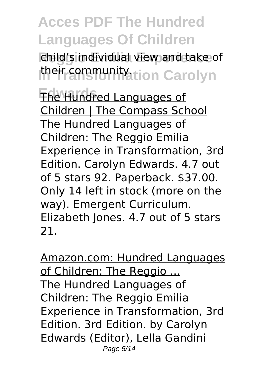child's individual view and take of **their community**tion Carolyn

**The Hundred Languages of** Children | The Compass School The Hundred Languages of Children: The Reggio Emilia Experience in Transformation, 3rd Edition. Carolyn Edwards. 4.7 out of 5 stars 92. Paperback. \$37.00. Only 14 left in stock (more on the way). Emergent Curriculum. Elizabeth Jones. 4.7 out of 5 stars 21.

Amazon.com: Hundred Languages of Children: The Reggio ... The Hundred Languages of Children: The Reggio Emilia Experience in Transformation, 3rd Edition. 3rd Edition. by Carolyn Edwards (Editor), Lella Gandini Page 5/14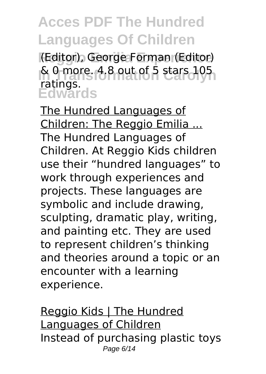**Reggio Emilia Experience** (Editor), George Forman (Editor) & 0 more. 4.8 out of 5 stars 105 **Edwards** ratings.

The Hundred Languages of Children: The Reggio Emilia ... The Hundred Languages of Children. At Reggio Kids children use their "hundred languages" to work through experiences and projects. These languages are symbolic and include drawing, sculpting, dramatic play, writing, and painting etc. They are used to represent children's thinking and theories around a topic or an encounter with a learning experience.

Reggio Kids | The Hundred Languages of Children Instead of purchasing plastic toys Page 6/14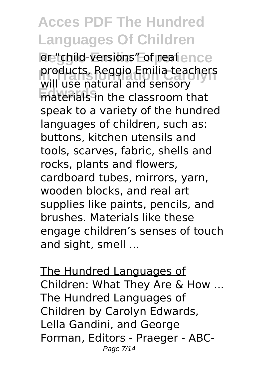or "child-versions" of real ence **Products, Reggio Emilia teachers Edwards** materials in the classroom that will use natural and sensory speak to a variety of the hundred languages of children, such as: buttons, kitchen utensils and tools, scarves, fabric, shells and rocks, plants and flowers, cardboard tubes, mirrors, yarn, wooden blocks, and real art supplies like paints, pencils, and brushes. Materials like these engage children's senses of touch and sight, smell ...

The Hundred Languages of Children: What They Are & How ... The Hundred Languages of Children by Carolyn Edwards, Lella Gandini, and George Forman, Editors - Praeger - ABC-Page 7/14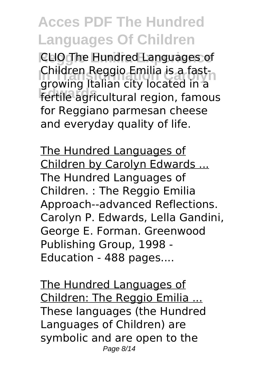**Reggio Emilia Experience** CLIO The Hundred Languages of **Children Reggio Emilia is a fast-**<br>Carolyna Italian city located in a **Edwards** fertile agricultural region, famous growing Italian city located in a for Reggiano parmesan cheese and everyday quality of life.

The Hundred Languages of Children by Carolyn Edwards ... The Hundred Languages of Children. : The Reggio Emilia Approach--advanced Reflections. Carolyn P. Edwards, Lella Gandini, George E. Forman. Greenwood Publishing Group, 1998 - Education - 488 pages....

The Hundred Languages of Children: The Reggio Emilia ... These languages (the Hundred Languages of Children) are symbolic and are open to the Page 8/14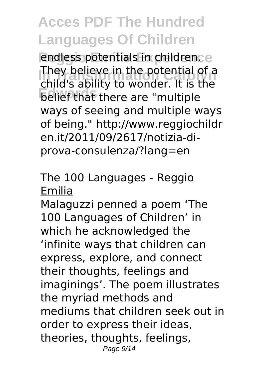endless potentials in children.e **In Transformation Carolyn** child's ability to wonder. It is the **Edwards** belief that there are "multiple They believe in the potential of a ways of seeing and multiple ways of being." http://www.reggiochildr en.it/2011/09/2617/notizia-diprova-consulenza/?lang=en

#### The 100 Languages - Reggio Emilia

Malaguzzi penned a poem 'The 100 Languages of Children' in which he acknowledged the 'infinite ways that children can express, explore, and connect their thoughts, feelings and imaginings'. The poem illustrates the myriad methods and mediums that children seek out in order to express their ideas, theories, thoughts, feelings, Page 9/14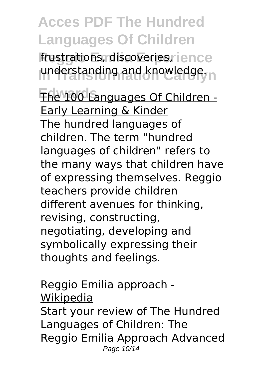frustrations, discoveries, rience understanding and knowledge.

The 100 Languages Of Children -Early Learning & Kinder The hundred languages of children. The term "hundred languages of children" refers to the many ways that children have of expressing themselves. Reggio teachers provide children different avenues for thinking, revising, constructing, negotiating, developing and symbolically expressing their thoughts and feelings.

Reggio Emilia approach - Wikipedia Start your review of The Hundred Languages of Children: The Reggio Emilia Approach Advanced Page 10/14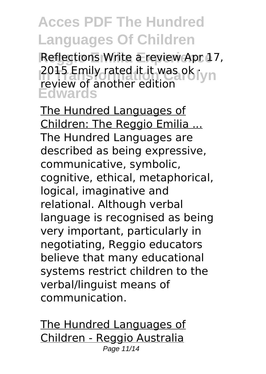Reflections Write a review Apr 17, **2015 Emily rated it it was ok ryn Edwards** review of another edition

The Hundred Languages of Children: The Reggio Emilia ... The Hundred Languages are described as being expressive, communicative, symbolic, cognitive, ethical, metaphorical, logical, imaginative and relational. Although verbal language is recognised as being very important, particularly in negotiating, Reggio educators believe that many educational systems restrict children to the verbal/linguist means of communication.

The Hundred Languages of Children - Reggio Australia Page 11/14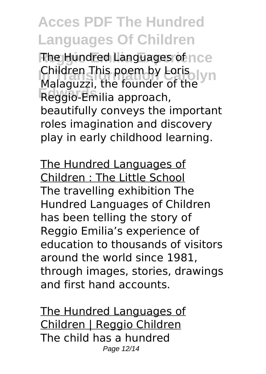**The Hundred Languages of nce** Children This poem by Loris<br>Malaguzzi, the foundar of the VID **Edwards** Reggio-Emilia approach, Malaguzzi, the founder of the beautifully conveys the important roles imagination and discovery play in early childhood learning.

The Hundred Languages of Children : The Little School The travelling exhibition The Hundred Languages of Children has been telling the story of Reggio Emilia's experience of education to thousands of visitors around the world since 1981, through images, stories, drawings and first hand accounts.

The Hundred Languages of Children | Reggio Children The child has a hundred Page 12/14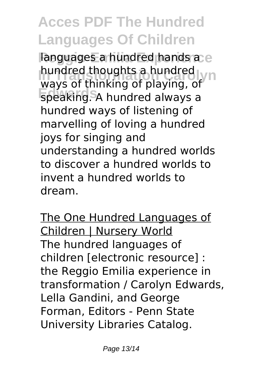languages a hundred hands a e hundred thoughts a hundred<br>wave of thinking of playing **Edwards** speaking. A hundred always a ways of thinking of playing, of hundred ways of listening of marvelling of loving a hundred joys for singing and understanding a hundred worlds to discover a hundred worlds to invent a hundred worlds to dream.

The One Hundred Languages of Children | Nursery World The hundred languages of children [electronic resource] : the Reggio Emilia experience in transformation / Carolyn Edwards, Lella Gandini, and George Forman, Editors - Penn State University Libraries Catalog.